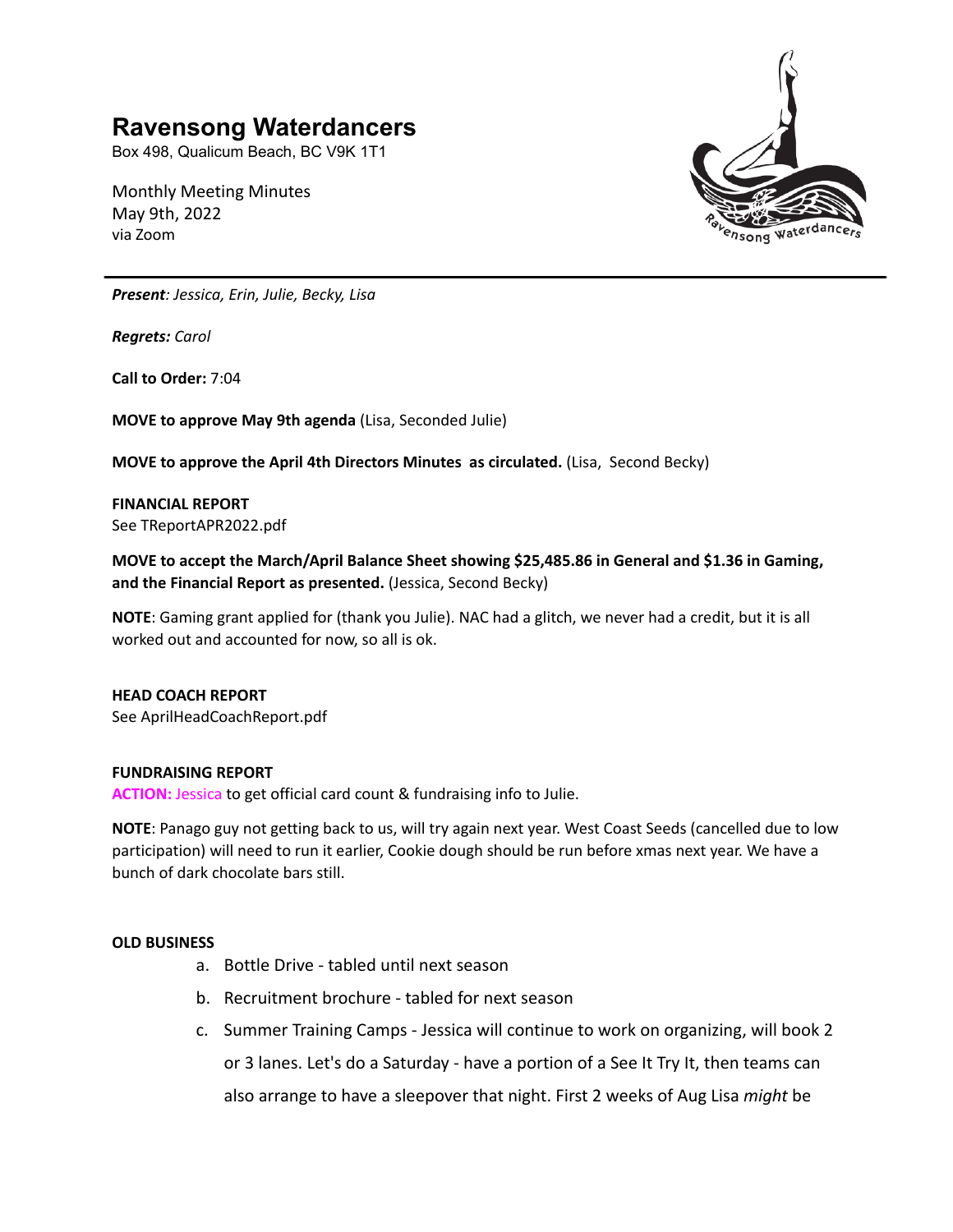# **Ravensong Waterdancers**

Box 498, Qualicum Beach, BC V9K 1T1

Monthly Meeting Minutes May 9th, 2022 via Zoom



*Present: Jessica, Erin, Julie, Becky, Lisa*

*Regrets: Carol*

**Call to Order:** 7:04

**MOVE to approve May 9th agenda** (Lisa, Seconded Julie)

**MOVE to approve the April 4th Directors Minutes as circulated.** (Lisa, Second Becky)

**FINANCIAL REPORT** See TReportAPR2022.pdf

**MOVE to accept the March/April Balance Sheet showing \$25,485.86 in General and \$1.36 in Gaming, and the Financial Report as presented.** (Jessica, Second Becky)

**NOTE**: Gaming grant applied for (thank you Julie). NAC had a glitch, we never had a credit, but it is all worked out and accounted for now, so all is ok.

### **HEAD COACH REPORT**

See AprilHeadCoachReport.pdf

### **FUNDRAISING REPORT**

**ACTION:** Jessica to get official card count & fundraising info to Julie.

**NOTE**: Panago guy not getting back to us, will try again next year. West Coast Seeds (cancelled due to low participation) will need to run it earlier, Cookie dough should be run before xmas next year. We have a bunch of dark chocolate bars still.

### **OLD BUSINESS**

- a. Bottle Drive tabled until next season
- b. Recruitment brochure tabled for next season
- c. Summer Training Camps Jessica will continue to work on organizing, will book 2 or 3 lanes. Let's do a Saturday - have a portion of a See It Try It, then teams can also arrange to have a sleepover that night. First 2 weeks of Aug Lisa *might* be